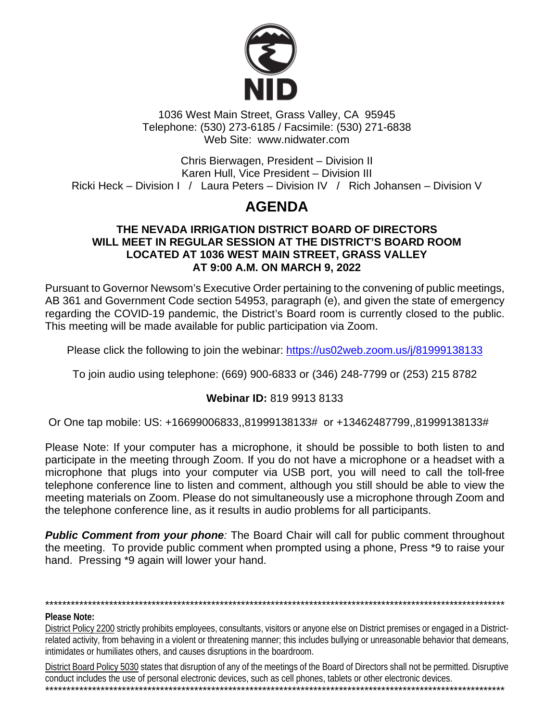

1036 West Main Street, Grass Valley, CA 95945 Telephone: (530) 273-6185 / Facsimile: (530) 271-6838 Web Site: www.nidwater.com

Chris Bierwagen, President - Division II Karen Hull, Vice President - Division III Ricki Heck – Division I / Laura Peters – Division IV / Rich Johansen – Division V

# **AGENDA**

# THE NEVADA IRRIGATION DISTRICT BOARD OF DIRECTORS WILL MEET IN REGULAR SESSION AT THE DISTRICT'S BOARD ROOM LOCATED AT 1036 WEST MAIN STREET, GRASS VALLEY AT 9:00 A.M. ON MARCH 9, 2022

Pursuant to Governor Newsom's Executive Order pertaining to the convening of public meetings, AB 361 and Government Code section 54953, paragraph (e), and given the state of emergency regarding the COVID-19 pandemic, the District's Board room is currently closed to the public. This meeting will be made available for public participation via Zoom.

Please click the following to join the webinar: https://us02web.zoom.us/j/81999138133

To join audio using telephone: (669) 900-6833 or (346) 248-7799 or (253) 215 8782

# **Webinar ID: 819 9913 8133**

Or One tap mobile: US: +16699006833,,81999138133# or +13462487799,,81999138133#

Please Note: If your computer has a microphone, it should be possible to both listen to and participate in the meeting through Zoom. If you do not have a microphone or a headset with a microphone that plugs into your computer via USB port, you will need to call the toll-free telephone conference line to listen and comment, although you still should be able to view the meeting materials on Zoom. Please do not simultaneously use a microphone through Zoom and the telephone conference line, as it results in audio problems for all participants.

**Public Comment from your phone:** The Board Chair will call for public comment throughout the meeting. To provide public comment when prompted using a phone, Press \*9 to raise your hand. Pressing \*9 again will lower your hand.

### **Please Note:**

District Policy 2200 strictly prohibits employees, consultants, visitors or anyone else on District premises or engaged in a Districtrelated activity, from behaving in a violent or threatening manner; this includes bullying or unreasonable behavior that demeans, intimidates or humiliates others, and causes disruptions in the boardroom.

District Board Policy 5030 states that disruption of any of the meetings of the Board of Directors shall not be permitted. Disruptive conduct includes the use of personal electronic devices, such as cell phones, tablets or other electronic devices.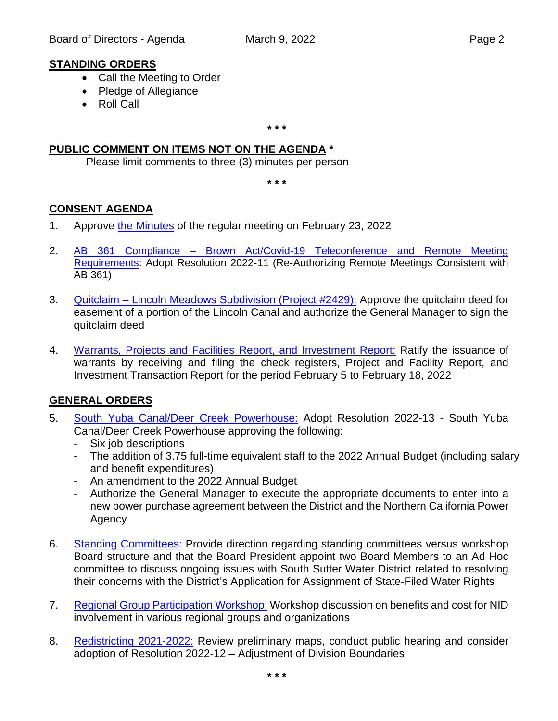# **STANDING ORDERS**

- Call the Meeting to Order
- Pledge of Allegiance
- Roll Call

**\* \* \***

# **PUBLIC COMMENT ON ITEMS NOT ON THE AGENDA \***

Please limit comments to three (3) minutes per person

**\* \* \***

# **CONSENT AGENDA**

- 1. Approve [the Minutes](https://www.nidwater.com/files/0fd551b35/03092022_BOD_Item_1.pdf) of the regular meeting on February 23, 2022
- 2. AB 361 Compliance [Brown Act/Covid-19 Teleconference and Remote Meeting](https://www.nidwater.com/files/3927b624f/03092022_BOD_Item_2.pdf)  [Requirements:](https://www.nidwater.com/files/3927b624f/03092022_BOD_Item_2.pdf) Adopt Resolution 2022-11 (Re-Authorizing Remote Meetings Consistent with AB 361)
- 3. Quitclaim [Lincoln Meadows Subdivision \(Project #2429\):](https://www.nidwater.com/files/02e0d9403/03092022_BOD_Item_3.pdf) Approve the quitclaim deed for easement of a portion of the Lincoln Canal and authorize the General Manager to sign the quitclaim deed
- 4. [Warrants, Projects and Facilities Report, and Investment Report:](https://www.nidwater.com/files/92aa99338/03092022_BOD_Item_4.pdf) Ratify the issuance of warrants by receiving and filing the check registers, Project and Facility Report, and Investment Transaction Report for the period February 5 to February 18, 2022

# **GENERAL ORDERS**

- 5. [South Yuba Canal/Deer Creek Powerhouse:](https://www.nidwater.com/files/767d7990f/03092022_BOD_Item_5.pdf) Adopt Resolution 2022-13 South Yuba Canal/Deer Creek Powerhouse approving the following:
	- Six job descriptions
	- The addition of 3.75 full-time equivalent staff to the 2022 Annual Budget (including salary and benefit expenditures)
	- An amendment to the 2022 Annual Budget
	- Authorize the General Manager to execute the appropriate documents to enter into a new power purchase agreement between the District and the Northern California Power Agency
- 6. [Standing Committees:](https://www.nidwater.com/files/c72da2fbc/03092022_BOD_Item_6.pdf) Provide direction regarding standing committees versus workshop Board structure and that the Board President appoint two Board Members to an Ad Hoc committee to discuss ongoing issues with South Sutter Water District related to resolving their concerns with the District's Application for Assignment of State-Filed Water Rights
- 7. [Regional Group Participation Workshop:](https://www.nidwater.com/files/cd4db15a0/03092022_BOD_Item_7.pdf) Workshop discussion on benefits and cost for NID involvement in various regional groups and organizations
- 8. [Redistricting 2021-2022:](https://www.nidwater.com/files/bae5b12b1/03092022_BOD_Item_8.pdf) Review preliminary maps, conduct public hearing and consider adoption of Resolution 2022-12 – Adjustment of Division Boundaries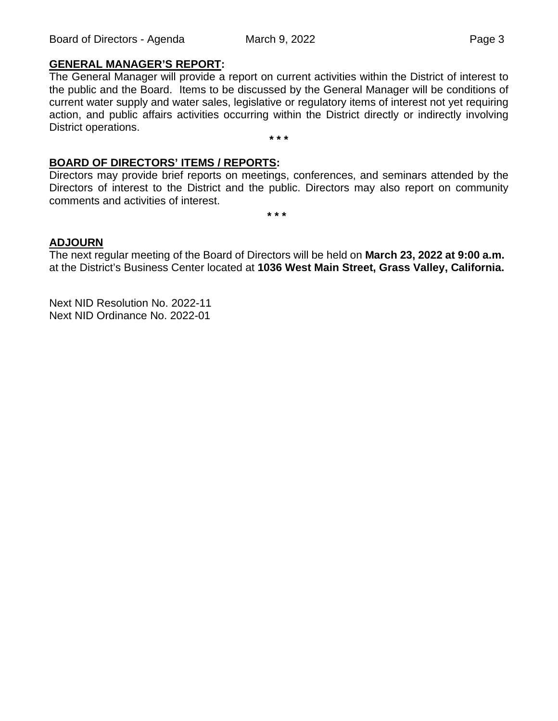# **GENERAL MANAGER'S REPORT:**

The General Manager will provide a report on current activities within the District of interest to the public and the Board. Items to be discussed by the General Manager will be conditions of current water supply and water sales, legislative or regulatory items of interest not yet requiring action, and public affairs activities occurring within the District directly or indirectly involving District operations. **\* \* \***

### **BOARD OF DIRECTORS' ITEMS / REPORTS:**

Directors may provide brief reports on meetings, conferences, and seminars attended by the Directors of interest to the District and the public. Directors may also report on community comments and activities of interest.

**\* \* \***

### **ADJOURN**

The next regular meeting of the Board of Directors will be held on **March 23, 2022 at 9:00 a.m.**  at the District's Business Center located at **1036 West Main Street, Grass Valley, California.**

Next NID Resolution No. 2022-11 Next NID Ordinance No. 2022-01